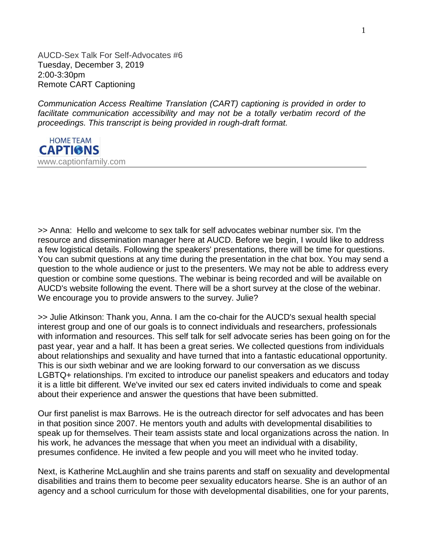AUCD-Sex Talk For Self-Advocates #6 Tuesday, December 3, 2019 2:00-3:30pm Remote CART Captioning

*Communication Access Realtime Translation (CART) captioning is provided in order to*  facilitate communication accessibility and may not be a totally verbatim record of the *proceedings. This transcript is being provided in rough-draft format.*



>> Anna: Hello and welcome to sex talk for self advocates webinar number six. I'm the resource and dissemination manager here at AUCD. Before we begin, I would like to address a few logistical details. Following the speakers' presentations, there will be time for questions. You can submit questions at any time during the presentation in the chat box. You may send a question to the whole audience or just to the presenters. We may not be able to address every question or combine some questions. The webinar is being recorded and will be available on AUCD's website following the event. There will be a short survey at the close of the webinar. We encourage you to provide answers to the survey. Julie?

>> Julie Atkinson: Thank you, Anna. I am the co-chair for the AUCD's sexual health special interest group and one of our goals is to connect individuals and researchers, professionals with information and resources. This self talk for self advocate series has been going on for the past year, year and a half. It has been a great series. We collected questions from individuals about relationships and sexuality and have turned that into a fantastic educational opportunity. This is our sixth webinar and we are looking forward to our conversation as we discuss LGBTQ+ relationships. I'm excited to introduce our panelist speakers and educators and today it is a little bit different. We've invited our sex ed caters invited individuals to come and speak about their experience and answer the questions that have been submitted.

Our first panelist is max Barrows. He is the outreach director for self advocates and has been in that position since 2007. He mentors youth and adults with developmental disabilities to speak up for themselves. Their team assists state and local organizations across the nation. In his work, he advances the message that when you meet an individual with a disability, presumes confidence. He invited a few people and you will meet who he invited today.

Next, is Katherine McLaughlin and she trains parents and staff on sexuality and developmental disabilities and trains them to become peer sexuality educators hearse. She is an author of an agency and a school curriculum for those with developmental disabilities, one for your parents,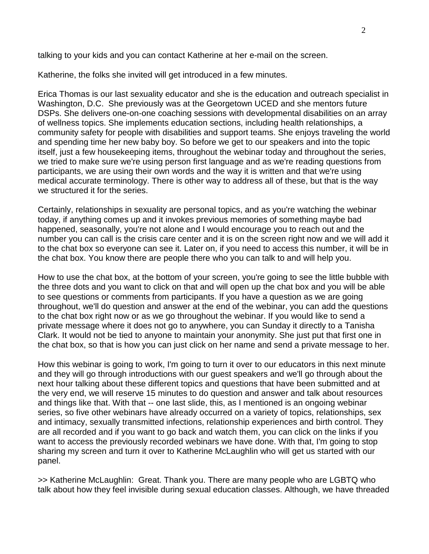talking to your kids and you can contact Katherine at her e-mail on the screen.

Katherine, the folks she invited will get introduced in a few minutes.

Erica Thomas is our last sexuality educator and she is the education and outreach specialist in Washington, D.C. She previously was at the Georgetown UCED and she mentors future DSPs. She delivers one-on-one coaching sessions with developmental disabilities on an array of wellness topics. She implements education sections, including health relationships, a community safety for people with disabilities and support teams. She enjoys traveling the world and spending time her new baby boy. So before we get to our speakers and into the topic itself, just a few housekeeping items, throughout the webinar today and throughout the series, we tried to make sure we're using person first language and as we're reading questions from participants, we are using their own words and the way it is written and that we're using medical accurate terminology. There is other way to address all of these, but that is the way we structured it for the series.

Certainly, relationships in sexuality are personal topics, and as you're watching the webinar today, if anything comes up and it invokes previous memories of something maybe bad happened, seasonally, you're not alone and I would encourage you to reach out and the number you can call is the crisis care center and it is on the screen right now and we will add it to the chat box so everyone can see it. Later on, if you need to access this number, it will be in the chat box. You know there are people there who you can talk to and will help you.

How to use the chat box, at the bottom of your screen, you're going to see the little bubble with the three dots and you want to click on that and will open up the chat box and you will be able to see questions or comments from participants. If you have a question as we are going throughout, we'll do question and answer at the end of the webinar, you can add the questions to the chat box right now or as we go throughout the webinar. If you would like to send a private message where it does not go to anywhere, you can Sunday it directly to a Tanisha Clark. It would not be tied to anyone to maintain your anonymity. She just put that first one in the chat box, so that is how you can just click on her name and send a private message to her.

How this webinar is going to work, I'm going to turn it over to our educators in this next minute and they will go through introductions with our guest speakers and we'll go through about the next hour talking about these different topics and questions that have been submitted and at the very end, we will reserve 15 minutes to do question and answer and talk about resources and things like that. With that -- one last slide, this, as I mentioned is an ongoing webinar series, so five other webinars have already occurred on a variety of topics, relationships, sex and intimacy, sexually transmitted infections, relationship experiences and birth control. They are all recorded and if you want to go back and watch them, you can click on the links if you want to access the previously recorded webinars we have done. With that, I'm going to stop sharing my screen and turn it over to Katherine McLaughlin who will get us started with our panel.

>> Katherine McLaughlin: Great. Thank you. There are many people who are LGBTQ who talk about how they feel invisible during sexual education classes. Although, we have threaded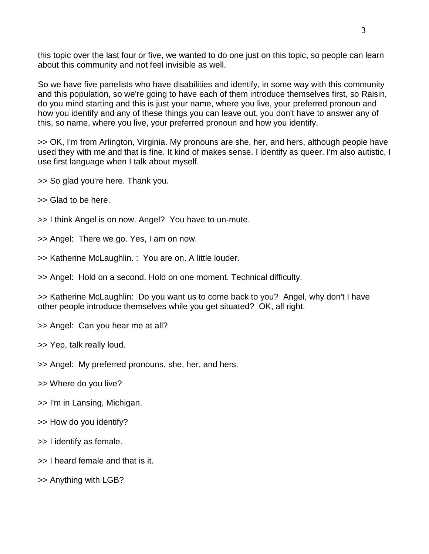this topic over the last four or five, we wanted to do one just on this topic, so people can learn about this community and not feel invisible as well.

So we have five panelists who have disabilities and identify, in some way with this community and this population, so we're going to have each of them introduce themselves first, so Raisin, do you mind starting and this is just your name, where you live, your preferred pronoun and how you identify and any of these things you can leave out, you don't have to answer any of this, so name, where you live, your preferred pronoun and how you identify.

>> OK, I'm from Arlington, Virginia. My pronouns are she, her, and hers, although people have used they with me and that is fine. It kind of makes sense. I identify as queer. I'm also autistic, I use first language when I talk about myself.

- >> So glad you're here. Thank you.
- >> Glad to be here.
- >> I think Angel is on now. Angel? You have to un-mute.
- >> Angel: There we go. Yes, I am on now.
- >> Katherine McLaughlin. : You are on. A little louder.
- >> Angel: Hold on a second. Hold on one moment. Technical difficulty.

>> Katherine McLaughlin: Do you want us to come back to you? Angel, why don't I have other people introduce themselves while you get situated? OK, all right.

- >> Angel: Can you hear me at all?
- >> Yep, talk really loud.
- >> Angel: My preferred pronouns, she, her, and hers.
- >> Where do you live?
- >> I'm in Lansing, Michigan.
- >> How do you identify?
- >> I identify as female.
- >> I heard female and that is it.
- >> Anything with LGB?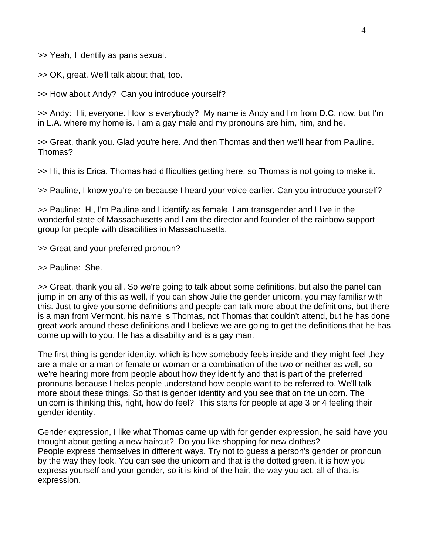>> Yeah, I identify as pans sexual.

>> OK, great. We'll talk about that, too.

>> How about Andy? Can you introduce yourself?

>> Andy: Hi, everyone. How is everybody? My name is Andy and I'm from D.C. now, but I'm in L.A. where my home is. I am a gay male and my pronouns are him, him, and he.

>> Great, thank you. Glad you're here. And then Thomas and then we'll hear from Pauline. Thomas?

>> Hi, this is Erica. Thomas had difficulties getting here, so Thomas is not going to make it.

>> Pauline, I know you're on because I heard your voice earlier. Can you introduce yourself?

>> Pauline: Hi, I'm Pauline and I identify as female. I am transgender and I live in the wonderful state of Massachusetts and I am the director and founder of the rainbow support group for people with disabilities in Massachusetts.

>> Great and your preferred pronoun?

>> Pauline: She.

>> Great, thank you all. So we're going to talk about some definitions, but also the panel can jump in on any of this as well, if you can show Julie the gender unicorn, you may familiar with this. Just to give you some definitions and people can talk more about the definitions, but there is a man from Vermont, his name is Thomas, not Thomas that couldn't attend, but he has done great work around these definitions and I believe we are going to get the definitions that he has come up with to you. He has a disability and is a gay man.

The first thing is gender identity, which is how somebody feels inside and they might feel they are a male or a man or female or woman or a combination of the two or neither as well, so we're hearing more from people about how they identify and that is part of the preferred pronouns because I helps people understand how people want to be referred to. We'll talk more about these things. So that is gender identity and you see that on the unicorn. The unicorn is thinking this, right, how do feel? This starts for people at age 3 or 4 feeling their gender identity.

Gender expression, I like what Thomas came up with for gender expression, he said have you thought about getting a new haircut? Do you like shopping for new clothes? People express themselves in different ways. Try not to guess a person's gender or pronoun by the way they look. You can see the unicorn and that is the dotted green, it is how you express yourself and your gender, so it is kind of the hair, the way you act, all of that is expression.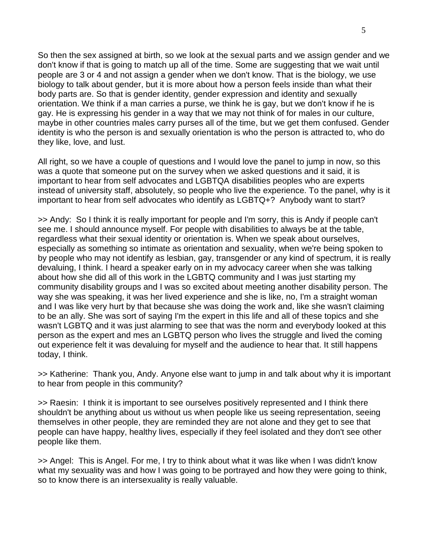So then the sex assigned at birth, so we look at the sexual parts and we assign gender and we don't know if that is going to match up all of the time. Some are suggesting that we wait until people are 3 or 4 and not assign a gender when we don't know. That is the biology, we use biology to talk about gender, but it is more about how a person feels inside than what their body parts are. So that is gender identity, gender expression and identity and sexually orientation. We think if a man carries a purse, we think he is gay, but we don't know if he is gay. He is expressing his gender in a way that we may not think of for males in our culture, maybe in other countries males carry purses all of the time, but we get them confused. Gender identity is who the person is and sexually orientation is who the person is attracted to, who do they like, love, and lust.

All right, so we have a couple of questions and I would love the panel to jump in now, so this was a quote that someone put on the survey when we asked questions and it said, it is important to hear from self advocates and LGBTQA disabilities peoples who are experts instead of university staff, absolutely, so people who live the experience. To the panel, why is it important to hear from self advocates who identify as LGBTQ+? Anybody want to start?

>> Andy: So I think it is really important for people and I'm sorry, this is Andy if people can't see me. I should announce myself. For people with disabilities to always be at the table, regardless what their sexual identity or orientation is. When we speak about ourselves, especially as something so intimate as orientation and sexuality, when we're being spoken to by people who may not identify as lesbian, gay, transgender or any kind of spectrum, it is really devaluing, I think. I heard a speaker early on in my advocacy career when she was talking about how she did all of this work in the LGBTQ community and I was just starting my community disability groups and I was so excited about meeting another disability person. The way she was speaking, it was her lived experience and she is like, no, I'm a straight woman and I was like very hurt by that because she was doing the work and, like she wasn't claiming to be an ally. She was sort of saying I'm the expert in this life and all of these topics and she wasn't LGBTQ and it was just alarming to see that was the norm and everybody looked at this person as the expert and mes an LGBTQ person who lives the struggle and lived the coming out experience felt it was devaluing for myself and the audience to hear that. It still happens today, I think.

>> Katherine: Thank you, Andy. Anyone else want to jump in and talk about why it is important to hear from people in this community?

>> Raesin: I think it is important to see ourselves positively represented and I think there shouldn't be anything about us without us when people like us seeing representation, seeing themselves in other people, they are reminded they are not alone and they get to see that people can have happy, healthy lives, especially if they feel isolated and they don't see other people like them.

>> Angel: This is Angel. For me, I try to think about what it was like when I was didn't know what my sexuality was and how I was going to be portrayed and how they were going to think, so to know there is an intersexuality is really valuable.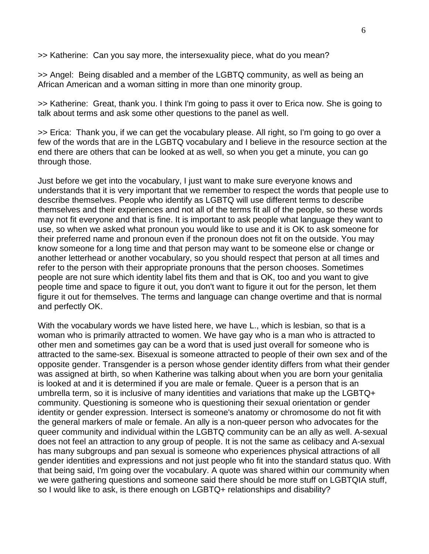>> Katherine: Can you say more, the intersexuality piece, what do you mean?

>> Angel: Being disabled and a member of the LGBTQ community, as well as being an African American and a woman sitting in more than one minority group.

>> Katherine: Great, thank you. I think I'm going to pass it over to Erica now. She is going to talk about terms and ask some other questions to the panel as well.

>> Erica: Thank you, if we can get the vocabulary please. All right, so I'm going to go over a few of the words that are in the LGBTQ vocabulary and I believe in the resource section at the end there are others that can be looked at as well, so when you get a minute, you can go through those.

Just before we get into the vocabulary, I just want to make sure everyone knows and understands that it is very important that we remember to respect the words that people use to describe themselves. People who identify as LGBTQ will use different terms to describe themselves and their experiences and not all of the terms fit all of the people, so these words may not fit everyone and that is fine. It is important to ask people what language they want to use, so when we asked what pronoun you would like to use and it is OK to ask someone for their preferred name and pronoun even if the pronoun does not fit on the outside. You may know someone for a long time and that person may want to be someone else or change or another letterhead or another vocabulary, so you should respect that person at all times and refer to the person with their appropriate pronouns that the person chooses. Sometimes people are not sure which identity label fits them and that is OK, too and you want to give people time and space to figure it out, you don't want to figure it out for the person, let them figure it out for themselves. The terms and language can change overtime and that is normal and perfectly OK.

With the vocabulary words we have listed here, we have L., which is lesbian, so that is a woman who is primarily attracted to women. We have gay who is a man who is attracted to other men and sometimes gay can be a word that is used just overall for someone who is attracted to the same-sex. Bisexual is someone attracted to people of their own sex and of the opposite gender. Transgender is a person whose gender identity differs from what their gender was assigned at birth, so when Katherine was talking about when you are born your genitalia is looked at and it is determined if you are male or female. Queer is a person that is an umbrella term, so it is inclusive of many identities and variations that make up the LGBTQ+ community. Questioning is someone who is questioning their sexual orientation or gender identity or gender expression. Intersect is someone's anatomy or chromosome do not fit with the general markers of male or female. An ally is a non-queer person who advocates for the queer community and individual within the LGBTQ community can be an ally as well. A-sexual does not feel an attraction to any group of people. It is not the same as celibacy and A-sexual has many subgroups and pan sexual is someone who experiences physical attractions of all gender identities and expressions and not just people who fit into the standard status quo. With that being said, I'm going over the vocabulary. A quote was shared within our community when we were gathering questions and someone said there should be more stuff on LGBTQIA stuff, so I would like to ask, is there enough on LGBTQ+ relationships and disability?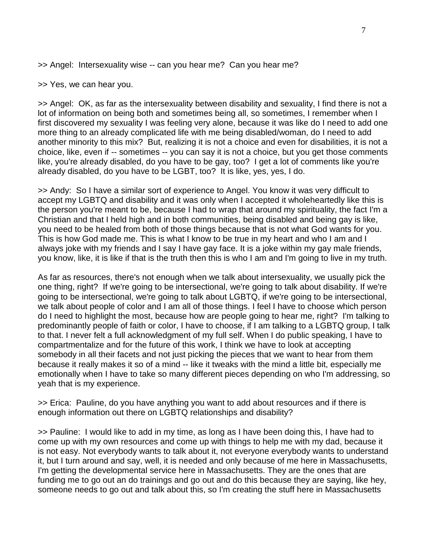>> Angel: Intersexuality wise -- can you hear me? Can you hear me?

>> Yes, we can hear you.

>> Angel: OK, as far as the intersexuality between disability and sexuality, I find there is not a lot of information on being both and sometimes being all, so sometimes, I remember when I first discovered my sexuality I was feeling very alone, because it was like do I need to add one more thing to an already complicated life with me being disabled/woman, do I need to add another minority to this mix? But, realizing it is not a choice and even for disabilities, it is not a choice, like, even if -- sometimes -- you can say it is not a choice, but you get those comments like, you're already disabled, do you have to be gay, too? I get a lot of comments like you're already disabled, do you have to be LGBT, too? It is like, yes, yes, I do.

>> Andy: So I have a similar sort of experience to Angel. You know it was very difficult to accept my LGBTQ and disability and it was only when I accepted it wholeheartedly like this is the person you're meant to be, because I had to wrap that around my spirituality, the fact I'm a Christian and that I held high and in both communities, being disabled and being gay is like, you need to be healed from both of those things because that is not what God wants for you. This is how God made me. This is what I know to be true in my heart and who I am and I always joke with my friends and I say I have gay face. It is a joke within my gay male friends, you know, like, it is like if that is the truth then this is who I am and I'm going to live in my truth.

As far as resources, there's not enough when we talk about intersexuality, we usually pick the one thing, right? If we're going to be intersectional, we're going to talk about disability. If we're going to be intersectional, we're going to talk about LGBTQ, if we're going to be intersectional, we talk about people of color and I am all of those things. I feel I have to choose which person do I need to highlight the most, because how are people going to hear me, right? I'm talking to predominantly people of faith or color, I have to choose, if I am talking to a LGBTQ group, I talk to that. I never felt a full acknowledgment of my full self. When I do public speaking, I have to compartmentalize and for the future of this work, I think we have to look at accepting somebody in all their facets and not just picking the pieces that we want to hear from them because it really makes it so of a mind -- like it tweaks with the mind a little bit, especially me emotionally when I have to take so many different pieces depending on who I'm addressing, so yeah that is my experience.

>> Erica: Pauline, do you have anything you want to add about resources and if there is enough information out there on LGBTQ relationships and disability?

>> Pauline: I would like to add in my time, as long as I have been doing this, I have had to come up with my own resources and come up with things to help me with my dad, because it is not easy. Not everybody wants to talk about it, not everyone everybody wants to understand it, but I turn around and say, well, it is needed and only because of me here in Massachusetts, I'm getting the developmental service here in Massachusetts. They are the ones that are funding me to go out an do trainings and go out and do this because they are saying, like hey, someone needs to go out and talk about this, so I'm creating the stuff here in Massachusetts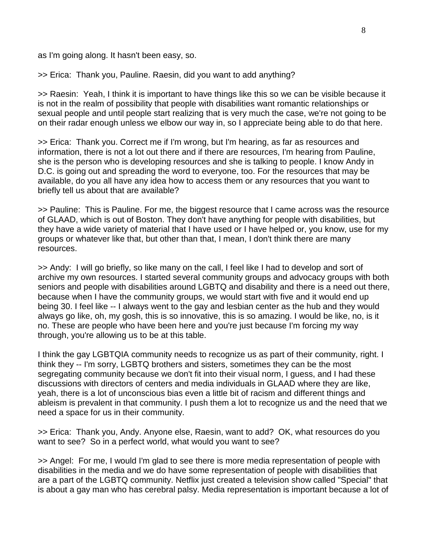as I'm going along. It hasn't been easy, so.

>> Erica: Thank you, Pauline. Raesin, did you want to add anything?

>> Raesin: Yeah, I think it is important to have things like this so we can be visible because it is not in the realm of possibility that people with disabilities want romantic relationships or sexual people and until people start realizing that is very much the case, we're not going to be on their radar enough unless we elbow our way in, so I appreciate being able to do that here.

>> Erica: Thank you. Correct me if I'm wrong, but I'm hearing, as far as resources and information, there is not a lot out there and if there are resources, I'm hearing from Pauline, she is the person who is developing resources and she is talking to people. I know Andy in D.C. is going out and spreading the word to everyone, too. For the resources that may be available, do you all have any idea how to access them or any resources that you want to briefly tell us about that are available?

>> Pauline: This is Pauline. For me, the biggest resource that I came across was the resource of GLAAD, which is out of Boston. They don't have anything for people with disabilities, but they have a wide variety of material that I have used or I have helped or, you know, use for my groups or whatever like that, but other than that, I mean, I don't think there are many resources.

>> Andy: I will go briefly, so like many on the call, I feel like I had to develop and sort of archive my own resources. I started several community groups and advocacy groups with both seniors and people with disabilities around LGBTQ and disability and there is a need out there, because when I have the community groups, we would start with five and it would end up being 30. I feel like -- I always went to the gay and lesbian center as the hub and they would always go like, oh, my gosh, this is so innovative, this is so amazing. I would be like, no, is it no. These are people who have been here and you're just because I'm forcing my way through, you're allowing us to be at this table.

I think the gay LGBTQIA community needs to recognize us as part of their community, right. I think they -- I'm sorry, LGBTQ brothers and sisters, sometimes they can be the most segregating community because we don't fit into their visual norm, I guess, and I had these discussions with directors of centers and media individuals in GLAAD where they are like, yeah, there is a lot of unconscious bias even a little bit of racism and different things and ableism is prevalent in that community. I push them a lot to recognize us and the need that we need a space for us in their community.

>> Erica: Thank you, Andy. Anyone else, Raesin, want to add? OK, what resources do you want to see? So in a perfect world, what would you want to see?

>> Angel: For me, I would I'm glad to see there is more media representation of people with disabilities in the media and we do have some representation of people with disabilities that are a part of the LGBTQ community. Netflix just created a television show called "Special" that is about a gay man who has cerebral palsy. Media representation is important because a lot of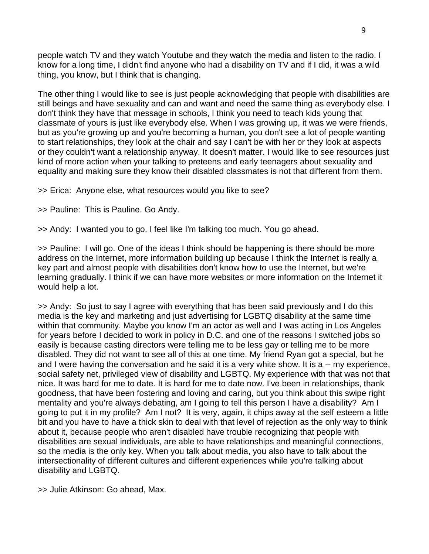people watch TV and they watch Youtube and they watch the media and listen to the radio. I know for a long time, I didn't find anyone who had a disability on TV and if I did, it was a wild thing, you know, but I think that is changing.

The other thing I would like to see is just people acknowledging that people with disabilities are still beings and have sexuality and can and want and need the same thing as everybody else. I don't think they have that message in schools, I think you need to teach kids young that classmate of yours is just like everybody else. When I was growing up, it was we were friends, but as you're growing up and you're becoming a human, you don't see a lot of people wanting to start relationships, they look at the chair and say I can't be with her or they look at aspects or they couldn't want a relationship anyway. It doesn't matter. I would like to see resources just kind of more action when your talking to preteens and early teenagers about sexuality and equality and making sure they know their disabled classmates is not that different from them.

>> Erica: Anyone else, what resources would you like to see?

>> Pauline: This is Pauline. Go Andy.

>> Andy: I wanted you to go. I feel like I'm talking too much. You go ahead.

>> Pauline: I will go. One of the ideas I think should be happening is there should be more address on the Internet, more information building up because I think the Internet is really a key part and almost people with disabilities don't know how to use the Internet, but we're learning gradually. I think if we can have more websites or more information on the Internet it would help a lot.

>> Andy: So just to say I agree with everything that has been said previously and I do this media is the key and marketing and just advertising for LGBTQ disability at the same time within that community. Maybe you know I'm an actor as well and I was acting in Los Angeles for years before I decided to work in policy in D.C. and one of the reasons I switched jobs so easily is because casting directors were telling me to be less gay or telling me to be more disabled. They did not want to see all of this at one time. My friend Ryan got a special, but he and I were having the conversation and he said it is a very white show. It is a -- my experience, social safety net, privileged view of disability and LGBTQ. My experience with that was not that nice. It was hard for me to date. It is hard for me to date now. I've been in relationships, thank goodness, that have been fostering and loving and caring, but you think about this swipe right mentality and you're always debating, am I going to tell this person I have a disability? Am I going to put it in my profile? Am I not? It is very, again, it chips away at the self esteem a little bit and you have to have a thick skin to deal with that level of rejection as the only way to think about it, because people who aren't disabled have trouble recognizing that people with disabilities are sexual individuals, are able to have relationships and meaningful connections, so the media is the only key. When you talk about media, you also have to talk about the intersectionality of different cultures and different experiences while you're talking about disability and LGBTQ.

>> Julie Atkinson: Go ahead, Max.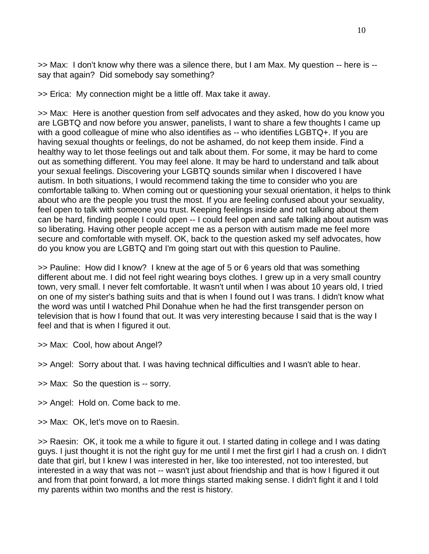>> Max: I don't know why there was a silence there, but I am Max. My question -- here is - say that again? Did somebody say something?

>> Erica: My connection might be a little off. Max take it away.

>> Max: Here is another question from self advocates and they asked, how do you know you are LGBTQ and now before you answer, panelists, I want to share a few thoughts I came up with a good colleague of mine who also identifies as -- who identifies LGBTQ+. If you are having sexual thoughts or feelings, do not be ashamed, do not keep them inside. Find a healthy way to let those feelings out and talk about them. For some, it may be hard to come out as something different. You may feel alone. It may be hard to understand and talk about your sexual feelings. Discovering your LGBTQ sounds similar when I discovered I have autism. In both situations, I would recommend taking the time to consider who you are comfortable talking to. When coming out or questioning your sexual orientation, it helps to think about who are the people you trust the most. If you are feeling confused about your sexuality, feel open to talk with someone you trust. Keeping feelings inside and not talking about them can be hard, finding people I could open -- I could feel open and safe talking about autism was so liberating. Having other people accept me as a person with autism made me feel more secure and comfortable with myself. OK, back to the question asked my self advocates, how do you know you are LGBTQ and I'm going start out with this question to Pauline.

>> Pauline: How did I know? I knew at the age of 5 or 6 years old that was something different about me. I did not feel right wearing boys clothes. I grew up in a very small country town, very small. I never felt comfortable. It wasn't until when I was about 10 years old, I tried on one of my sister's bathing suits and that is when I found out I was trans. I didn't know what the word was until I watched Phil Donahue when he had the first transgender person on television that is how I found that out. It was very interesting because I said that is the way I feel and that is when I figured it out.

>> Max: Cool, how about Angel?

>> Angel: Sorry about that. I was having technical difficulties and I wasn't able to hear.

- >> Max: So the question is -- sorry.
- >> Angel: Hold on. Come back to me.
- >> Max: OK, let's move on to Raesin.

>> Raesin: OK, it took me a while to figure it out. I started dating in college and I was dating guys. I just thought it is not the right guy for me until I met the first girl I had a crush on. I didn't date that girl, but I knew I was interested in her, like too interested, not too interested, but interested in a way that was not -- wasn't just about friendship and that is how I figured it out and from that point forward, a lot more things started making sense. I didn't fight it and I told my parents within two months and the rest is history.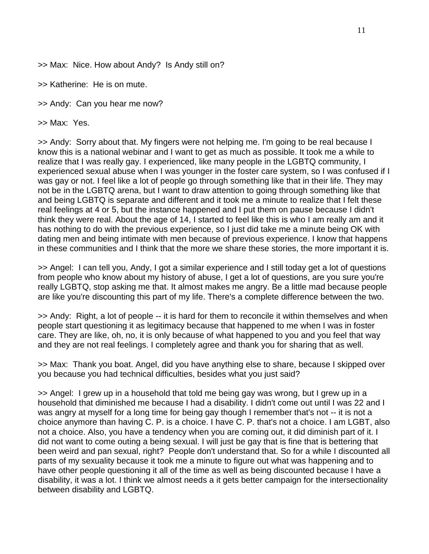>> Max: Nice. How about Andy? Is Andy still on?

>> Katherine: He is on mute.

>> Andy: Can you hear me now?

>> Max: Yes.

>> Andy: Sorry about that. My fingers were not helping me. I'm going to be real because I know this is a national webinar and I want to get as much as possible. It took me a while to realize that I was really gay. I experienced, like many people in the LGBTQ community, I experienced sexual abuse when I was younger in the foster care system, so I was confused if I was gay or not. I feel like a lot of people go through something like that in their life. They may not be in the LGBTQ arena, but I want to draw attention to going through something like that and being LGBTQ is separate and different and it took me a minute to realize that I felt these real feelings at 4 or 5, but the instance happened and I put them on pause because I didn't think they were real. About the age of 14, I started to feel like this is who I am really am and it has nothing to do with the previous experience, so I just did take me a minute being OK with dating men and being intimate with men because of previous experience. I know that happens in these communities and I think that the more we share these stories, the more important it is.

>> Angel: I can tell you, Andy, I got a similar experience and I still today get a lot of questions from people who know about my history of abuse, I get a lot of questions, are you sure you're really LGBTQ, stop asking me that. It almost makes me angry. Be a little mad because people are like you're discounting this part of my life. There's a complete difference between the two.

>> Andy: Right, a lot of people -- it is hard for them to reconcile it within themselves and when people start questioning it as legitimacy because that happened to me when I was in foster care. They are like, oh, no, it is only because of what happened to you and you feel that way and they are not real feelings. I completely agree and thank you for sharing that as well.

>> Max: Thank you boat. Angel, did you have anything else to share, because I skipped over you because you had technical difficulties, besides what you just said?

>> Angel: I grew up in a household that told me being gay was wrong, but I grew up in a household that diminished me because I had a disability. I didn't come out until I was 22 and I was angry at myself for a long time for being gay though I remember that's not -- it is not a choice anymore than having C. P. is a choice. I have C. P. that's not a choice. I am LGBT, also not a choice. Also, you have a tendency when you are coming out, it did diminish part of it. I did not want to come outing a being sexual. I will just be gay that is fine that is bettering that been weird and pan sexual, right? People don't understand that. So for a while I discounted all parts of my sexuality because it took me a minute to figure out what was happening and to have other people questioning it all of the time as well as being discounted because I have a disability, it was a lot. I think we almost needs a it gets better campaign for the intersectionality between disability and LGBTQ.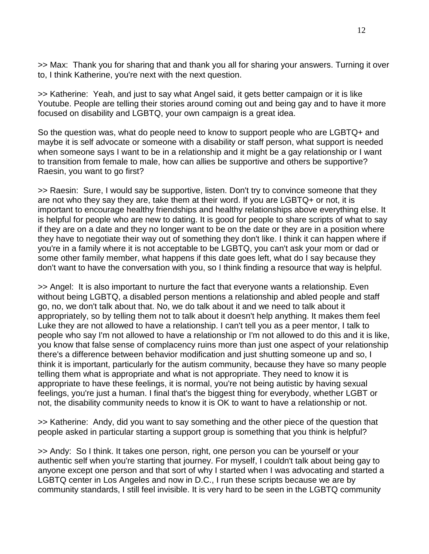>> Max: Thank you for sharing that and thank you all for sharing your answers. Turning it over to, I think Katherine, you're next with the next question.

>> Katherine: Yeah, and just to say what Angel said, it gets better campaign or it is like Youtube. People are telling their stories around coming out and being gay and to have it more focused on disability and LGBTQ, your own campaign is a great idea.

So the question was, what do people need to know to support people who are LGBTQ+ and maybe it is self advocate or someone with a disability or staff person, what support is needed when someone says I want to be in a relationship and it might be a gay relationship or I want to transition from female to male, how can allies be supportive and others be supportive? Raesin, you want to go first?

>> Raesin: Sure, I would say be supportive, listen. Don't try to convince someone that they are not who they say they are, take them at their word. If you are LGBTQ+ or not, it is important to encourage healthy friendships and healthy relationships above everything else. It is helpful for people who are new to dating. It is good for people to share scripts of what to say if they are on a date and they no longer want to be on the date or they are in a position where they have to negotiate their way out of something they don't like. I think it can happen where if you're in a family where it is not acceptable to be LGBTQ, you can't ask your mom or dad or some other family member, what happens if this date goes left, what do I say because they don't want to have the conversation with you, so I think finding a resource that way is helpful.

>> Angel: It is also important to nurture the fact that everyone wants a relationship. Even without being LGBTQ, a disabled person mentions a relationship and abled people and staff go, no, we don't talk about that. No, we do talk about it and we need to talk about it appropriately, so by telling them not to talk about it doesn't help anything. It makes them feel Luke they are not allowed to have a relationship. I can't tell you as a peer mentor, I talk to people who say I'm not allowed to have a relationship or I'm not allowed to do this and it is like, you know that false sense of complacency ruins more than just one aspect of your relationship there's a difference between behavior modification and just shutting someone up and so, I think it is important, particularly for the autism community, because they have so many people telling them what is appropriate and what is not appropriate. They need to know it is appropriate to have these feelings, it is normal, you're not being autistic by having sexual feelings, you're just a human. I final that's the biggest thing for everybody, whether LGBT or not, the disability community needs to know it is OK to want to have a relationship or not.

>> Katherine: Andy, did you want to say something and the other piece of the question that people asked in particular starting a support group is something that you think is helpful?

>> Andy: So I think. It takes one person, right, one person you can be yourself or your authentic self when you're starting that journey. For myself, I couldn't talk about being gay to anyone except one person and that sort of why I started when I was advocating and started a LGBTQ center in Los Angeles and now in D.C., I run these scripts because we are by community standards, I still feel invisible. It is very hard to be seen in the LGBTQ community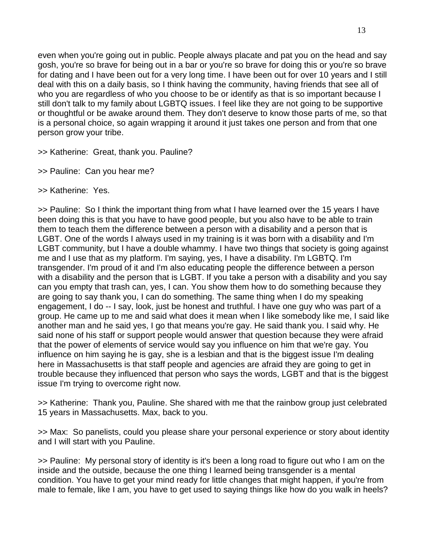even when you're going out in public. People always placate and pat you on the head and say gosh, you're so brave for being out in a bar or you're so brave for doing this or you're so brave for dating and I have been out for a very long time. I have been out for over 10 years and I still deal with this on a daily basis, so I think having the community, having friends that see all of who you are regardless of who you choose to be or identify as that is so important because I still don't talk to my family about LGBTQ issues. I feel like they are not going to be supportive or thoughtful or be awake around them. They don't deserve to know those parts of me, so that is a personal choice, so again wrapping it around it just takes one person and from that one person grow your tribe.

>> Katherine: Great, thank you. Pauline?

>> Pauline: Can you hear me?

>> Katherine: Yes.

>> Pauline: So I think the important thing from what I have learned over the 15 years I have been doing this is that you have to have good people, but you also have to be able to train them to teach them the difference between a person with a disability and a person that is LGBT. One of the words I always used in my training is it was born with a disability and I'm LGBT community, but I have a double whammy. I have two things that society is going against me and I use that as my platform. I'm saying, yes, I have a disability. I'm LGBTQ. I'm transgender. I'm proud of it and I'm also educating people the difference between a person with a disability and the person that is LGBT. If you take a person with a disability and you say can you empty that trash can, yes, I can. You show them how to do something because they are going to say thank you, I can do something. The same thing when I do my speaking engagement, I do -- I say, look, just be honest and truthful. I have one guy who was part of a group. He came up to me and said what does it mean when I like somebody like me, I said like another man and he said yes, I go that means you're gay. He said thank you. I said why. He said none of his staff or support people would answer that question because they were afraid that the power of elements of service would say you influence on him that we're gay. You influence on him saying he is gay, she is a lesbian and that is the biggest issue I'm dealing here in Massachusetts is that staff people and agencies are afraid they are going to get in trouble because they influenced that person who says the words, LGBT and that is the biggest issue I'm trying to overcome right now.

>> Katherine: Thank you, Pauline. She shared with me that the rainbow group just celebrated 15 years in Massachusetts. Max, back to you.

>> Max: So panelists, could you please share your personal experience or story about identity and I will start with you Pauline.

>> Pauline: My personal story of identity is it's been a long road to figure out who I am on the inside and the outside, because the one thing I learned being transgender is a mental condition. You have to get your mind ready for little changes that might happen, if you're from male to female, like I am, you have to get used to saying things like how do you walk in heels?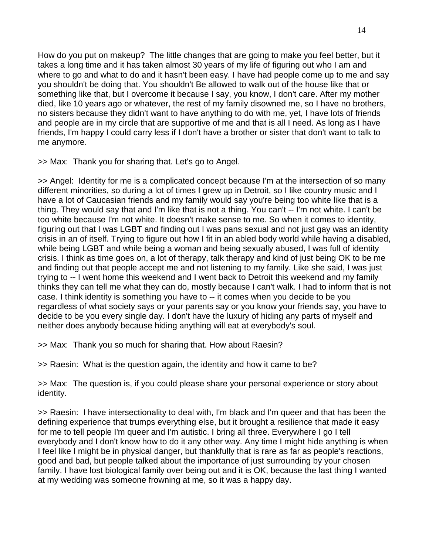How do you put on makeup? The little changes that are going to make you feel better, but it takes a long time and it has taken almost 30 years of my life of figuring out who I am and where to go and what to do and it hasn't been easy. I have had people come up to me and say you shouldn't be doing that. You shouldn't Be allowed to walk out of the house like that or something like that, but I overcome it because I say, you know, I don't care. After my mother died, like 10 years ago or whatever, the rest of my family disowned me, so I have no brothers, no sisters because they didn't want to have anything to do with me, yet, I have lots of friends and people are in my circle that are supportive of me and that is all I need. As long as I have friends, I'm happy I could carry less if I don't have a brother or sister that don't want to talk to me anymore.

>> Max: Thank you for sharing that. Let's go to Angel.

>> Angel: Identity for me is a complicated concept because I'm at the intersection of so many different minorities, so during a lot of times I grew up in Detroit, so I like country music and I have a lot of Caucasian friends and my family would say you're being too white like that is a thing. They would say that and I'm like that is not a thing. You can't -- I'm not white. I can't be too white because I'm not white. It doesn't make sense to me. So when it comes to identity, figuring out that I was LGBT and finding out I was pans sexual and not just gay was an identity crisis in an of itself. Trying to figure out how I fit in an abled body world while having a disabled, while being LGBT and while being a woman and being sexually abused, I was full of identity crisis. I think as time goes on, a lot of therapy, talk therapy and kind of just being OK to be me and finding out that people accept me and not listening to my family. Like she said, I was just trying to -- I went home this weekend and I went back to Detroit this weekend and my family thinks they can tell me what they can do, mostly because I can't walk. I had to inform that is not case. I think identity is something you have to -- it comes when you decide to be you regardless of what society says or your parents say or you know your friends say, you have to decide to be you every single day. I don't have the luxury of hiding any parts of myself and neither does anybody because hiding anything will eat at everybody's soul.

>> Max: Thank you so much for sharing that. How about Raesin?

>> Raesin: What is the question again, the identity and how it came to be?

>> Max: The question is, if you could please share your personal experience or story about identity.

>> Raesin: I have intersectionality to deal with, I'm black and I'm queer and that has been the defining experience that trumps everything else, but it brought a resilience that made it easy for me to tell people I'm queer and I'm autistic. I bring all three. Everywhere I go I tell everybody and I don't know how to do it any other way. Any time I might hide anything is when I feel like I might be in physical danger, but thankfully that is rare as far as people's reactions, good and bad, but people talked about the importance of just surrounding by your chosen family. I have lost biological family over being out and it is OK, because the last thing I wanted at my wedding was someone frowning at me, so it was a happy day.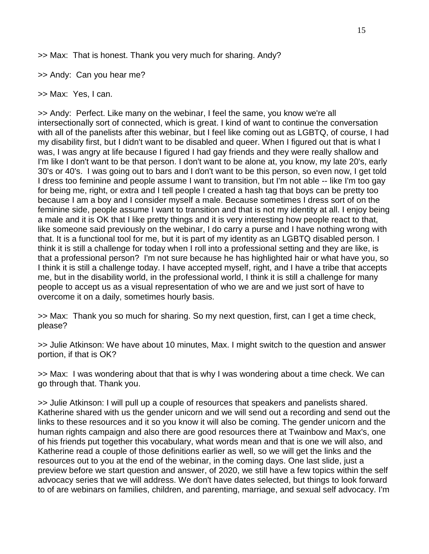>> Max: That is honest. Thank you very much for sharing. Andy?

>> Andy: Can you hear me?

>> Max: Yes, I can.

>> Andy: Perfect. Like many on the webinar, I feel the same, you know we're all intersectionally sort of connected, which is great. I kind of want to continue the conversation with all of the panelists after this webinar, but I feel like coming out as LGBTQ, of course, I had my disability first, but I didn't want to be disabled and queer. When I figured out that is what I was, I was angry at life because I figured I had gay friends and they were really shallow and I'm like I don't want to be that person. I don't want to be alone at, you know, my late 20's, early 30's or 40's. I was going out to bars and I don't want to be this person, so even now, I get told I dress too feminine and people assume I want to transition, but I'm not able -- like I'm too gay for being me, right, or extra and I tell people I created a hash tag that boys can be pretty too because I am a boy and I consider myself a male. Because sometimes I dress sort of on the feminine side, people assume I want to transition and that is not my identity at all. I enjoy being a male and it is OK that I like pretty things and it is very interesting how people react to that, like someone said previously on the webinar, I do carry a purse and I have nothing wrong with that. It is a functional tool for me, but it is part of my identity as an LGBTQ disabled person. I think it is still a challenge for today when I roll into a professional setting and they are like, is that a professional person? I'm not sure because he has highlighted hair or what have you, so I think it is still a challenge today. I have accepted myself, right, and I have a tribe that accepts me, but in the disability world, in the professional world, I think it is still a challenge for many people to accept us as a visual representation of who we are and we just sort of have to overcome it on a daily, sometimes hourly basis.

>> Max: Thank you so much for sharing. So my next question, first, can I get a time check, please?

>> Julie Atkinson: We have about 10 minutes, Max. I might switch to the question and answer portion, if that is OK?

>> Max: I was wondering about that that is why I was wondering about a time check. We can go through that. Thank you.

>> Julie Atkinson: I will pull up a couple of resources that speakers and panelists shared. Katherine shared with us the gender unicorn and we will send out a recording and send out the links to these resources and it so you know it will also be coming. The gender unicorn and the human rights campaign and also there are good resources there at Twainbow and Max's, one of his friends put together this vocabulary, what words mean and that is one we will also, and Katherine read a couple of those definitions earlier as well, so we will get the links and the resources out to you at the end of the webinar, in the coming days. One last slide, just a preview before we start question and answer, of 2020, we still have a few topics within the self advocacy series that we will address. We don't have dates selected, but things to look forward to of are webinars on families, children, and parenting, marriage, and sexual self advocacy. I'm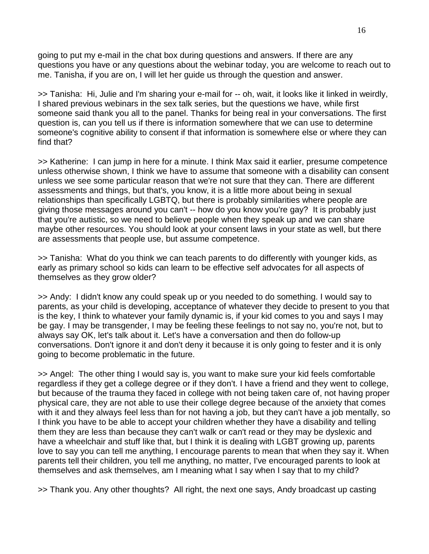going to put my e-mail in the chat box during questions and answers. If there are any questions you have or any questions about the webinar today, you are welcome to reach out to me. Tanisha, if you are on, I will let her guide us through the question and answer.

>> Tanisha: Hi, Julie and I'm sharing your e-mail for -- oh, wait, it looks like it linked in weirdly, I shared previous webinars in the sex talk series, but the questions we have, while first someone said thank you all to the panel. Thanks for being real in your conversations. The first question is, can you tell us if there is information somewhere that we can use to determine someone's cognitive ability to consent if that information is somewhere else or where they can find that?

>> Katherine: I can jump in here for a minute. I think Max said it earlier, presume competence unless otherwise shown, I think we have to assume that someone with a disability can consent unless we see some particular reason that we're not sure that they can. There are different assessments and things, but that's, you know, it is a little more about being in sexual relationships than specifically LGBTQ, but there is probably similarities where people are giving those messages around you can't -- how do you know you're gay? It is probably just that you're autistic, so we need to believe people when they speak up and we can share maybe other resources. You should look at your consent laws in your state as well, but there are assessments that people use, but assume competence.

>> Tanisha: What do you think we can teach parents to do differently with younger kids, as early as primary school so kids can learn to be effective self advocates for all aspects of themselves as they grow older?

>> Andy: I didn't know any could speak up or you needed to do something. I would say to parents, as your child is developing, acceptance of whatever they decide to present to you that is the key, I think to whatever your family dynamic is, if your kid comes to you and says I may be gay. I may be transgender, I may be feeling these feelings to not say no, you're not, but to always say OK, let's talk about it. Let's have a conversation and then do follow-up conversations. Don't ignore it and don't deny it because it is only going to fester and it is only going to become problematic in the future.

>> Angel: The other thing I would say is, you want to make sure your kid feels comfortable regardless if they get a college degree or if they don't. I have a friend and they went to college, but because of the trauma they faced in college with not being taken care of, not having proper physical care, they are not able to use their college degree because of the anxiety that comes with it and they always feel less than for not having a job, but they can't have a job mentally, so I think you have to be able to accept your children whether they have a disability and telling them they are less than because they can't walk or can't read or they may be dyslexic and have a wheelchair and stuff like that, but I think it is dealing with LGBT growing up, parents love to say you can tell me anything, I encourage parents to mean that when they say it. When parents tell their children, you tell me anything, no matter, I've encouraged parents to look at themselves and ask themselves, am I meaning what I say when I say that to my child?

>> Thank you. Any other thoughts? All right, the next one says, Andy broadcast up casting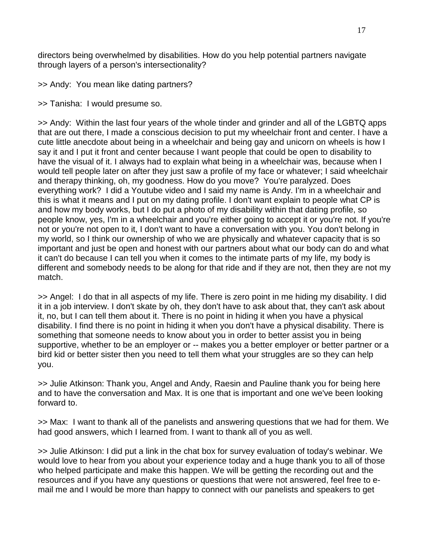directors being overwhelmed by disabilities. How do you help potential partners navigate through layers of a person's intersectionality?

>> Andy: You mean like dating partners?

>> Tanisha: I would presume so.

>> Andy: Within the last four years of the whole tinder and grinder and all of the LGBTQ apps that are out there, I made a conscious decision to put my wheelchair front and center. I have a cute little anecdote about being in a wheelchair and being gay and unicorn on wheels is how I say it and I put it front and center because I want people that could be open to disability to have the visual of it. I always had to explain what being in a wheelchair was, because when I would tell people later on after they just saw a profile of my face or whatever; I said wheelchair and therapy thinking, oh, my goodness. How do you move? You're paralyzed. Does everything work? I did a Youtube video and I said my name is Andy. I'm in a wheelchair and this is what it means and I put on my dating profile. I don't want explain to people what CP is and how my body works, but I do put a photo of my disability within that dating profile, so people know, yes, I'm in a wheelchair and you're either going to accept it or you're not. If you're not or you're not open to it, I don't want to have a conversation with you. You don't belong in my world, so I think our ownership of who we are physically and whatever capacity that is so important and just be open and honest with our partners about what our body can do and what it can't do because I can tell you when it comes to the intimate parts of my life, my body is different and somebody needs to be along for that ride and if they are not, then they are not my match.

>> Angel: I do that in all aspects of my life. There is zero point in me hiding my disability. I did it in a job interview. I don't skate by oh, they don't have to ask about that, they can't ask about it, no, but I can tell them about it. There is no point in hiding it when you have a physical disability. I find there is no point in hiding it when you don't have a physical disability. There is something that someone needs to know about you in order to better assist you in being supportive, whether to be an employer or -- makes you a better employer or better partner or a bird kid or better sister then you need to tell them what your struggles are so they can help you.

>> Julie Atkinson: Thank you, Angel and Andy, Raesin and Pauline thank you for being here and to have the conversation and Max. It is one that is important and one we've been looking forward to.

>> Max: I want to thank all of the panelists and answering questions that we had for them. We had good answers, which I learned from. I want to thank all of you as well.

>> Julie Atkinson: I did put a link in the chat box for survey evaluation of today's webinar. We would love to hear from you about your experience today and a huge thank you to all of those who helped participate and make this happen. We will be getting the recording out and the resources and if you have any questions or questions that were not answered, feel free to email me and I would be more than happy to connect with our panelists and speakers to get